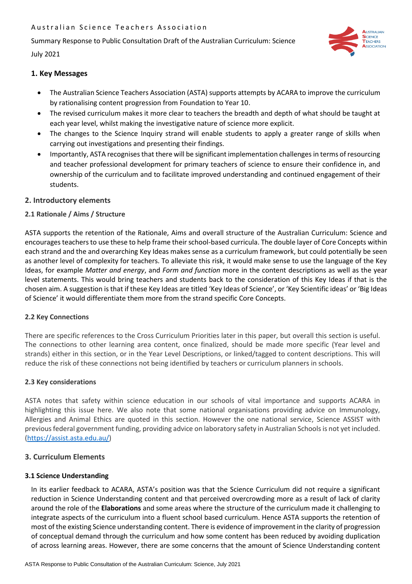Summary Response to Public Consultation Draft of the Australian Curriculum: Science

July 2021



# **1. Key Messages**

- The Australian Science Teachers Association (ASTA) supports attempts by ACARA to improve the curriculum by rationalising content progression from Foundation to Year 10.
- The revised curriculum makes it more clear to teachers the breadth and depth of what should be taught at each year level, whilst making the investigative nature of science more explicit.
- The changes to the Science Inquiry strand will enable students to apply a greater range of skills when carrying out investigations and presenting their findings.
- Importantly, ASTA recognises that there will be significant implementation challenges in terms of resourcing and teacher professional development for primary teachers of science to ensure their confidence in, and ownership of the curriculum and to facilitate improved understanding and continued engagement of their students.

## **2. Introductory elements**

## **2.1 Rationale / Aims / Structure**

ASTA supports the retention of the Rationale, Aims and overall structure of the Australian Curriculum: Science and encourages teachers to use these to help frame their school-based curricula. The double layer of Core Concepts within each strand and the and overarching Key Ideas makes sense as a curriculum framework, but could potentially be seen as another level of complexity for teachers. To alleviate this risk, it would make sense to use the language of the Key Ideas, for example *Matter and energy*, and *Form and function* more in the content descriptions as well as the year level statements. This would bring teachers and students back to the consideration of this Key Ideas if that is the chosen aim. A suggestion is that if these Key Ideas are titled 'Key Ideas of Science', or 'Key Scientific ideas' or 'Big Ideas of Science' it would differentiate them more from the strand specific Core Concepts.

#### **2.2 Key Connections**

There are specific references to the Cross Curriculum Priorities later in this paper, but overall this section is useful. The connections to other learning area content, once finalized, should be made more specific (Year level and strands) either in this section, or in the Year Level Descriptions, or linked/tagged to content descriptions. This will reduce the risk of these connections not being identified by teachers or curriculum planners in schools.

#### **2.3 Key considerations**

ASTA notes that safety within science education in our schools of vital importance and supports ACARA in highlighting this issue here. We also note that some national organisations providing advice on Immunology, Allergies and Animal Ethics are quoted in this section. However the one national service, Science ASSIST with previous federal government funding, providing advice on laboratory safety in Australian Schools is not yet included. [\(https://assist.asta.edu.au/\)](https://assist.asta.edu.au/)

#### **3. Curriculum Elements**

#### **3.1 Science Understanding**

In its earlier feedback to ACARA, ASTA's position was that the Science Curriculum did not require a significant reduction in Science Understanding content and that perceived overcrowding more as a result of lack of clarity around the role of the **Elaborations** and some areas where the structure of the curriculum made it challenging to integrate aspects of the curriculum into a fluent school based curriculum. Hence ASTA supports the retention of most of the existing Science understanding content. There is evidence of improvement in the clarity of progression of conceptual demand through the curriculum and how some content has been reduced by avoiding duplication of across learning areas. However, there are some concerns that the amount of Science Understanding content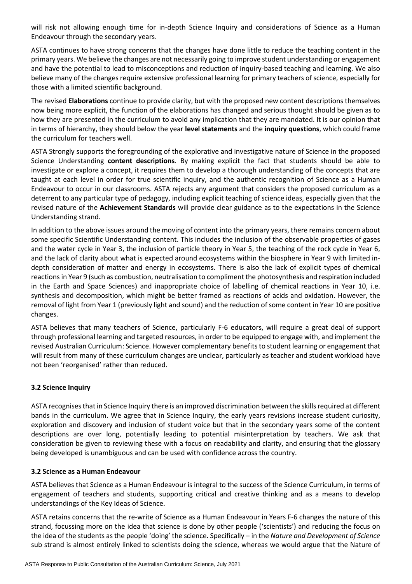will risk not allowing enough time for in-depth Science Inquiry and considerations of Science as a Human Endeavour through the secondary years.

ASTA continues to have strong concerns that the changes have done little to reduce the teaching content in the primary years. We believe the changes are not necessarily going to improve student understanding or engagement and have the potential to lead to misconceptions and reduction of inquiry-based teaching and learning. We also believe many of the changes require extensive professional learning for primary teachers of science, especially for those with a limited scientific background.

The revised **Elaborations** continue to provide clarity, but with the proposed new content descriptions themselves now being more explicit, the function of the elaborations has changed and serious thought should be given as to how they are presented in the curriculum to avoid any implication that they are mandated. It is our opinion that in terms of hierarchy, they should below the year **level statements** and the **inquiry questions**, which could frame the curriculum for teachers well.

ASTA Strongly supports the foregrounding of the explorative and investigative nature of Science in the proposed Science Understanding **content descriptions**. By making explicit the fact that students should be able to investigate or explore a concept, it requires them to develop a thorough understanding of the concepts that are taught at each level in order for true scientific inquiry, and the authentic recognition of Science as a Human Endeavour to occur in our classrooms. ASTA rejects any argument that considers the proposed curriculum as a deterrent to any particular type of pedagogy, including explicit teaching of science ideas, especially given that the revised nature of the **Achievement Standards** will provide clear guidance as to the expectations in the Science Understanding strand.

In addition to the above issues around the moving of content into the primary years, there remains concern about some specific Scientific Understanding content. This includes the inclusion of the observable properties of gases and the water cycle in Year 3, the inclusion of particle theory in Year 5, the teaching of the rock cycle in Year 6, and the lack of clarity about what is expected around ecosystems within the biosphere in Year 9 with limited indepth consideration of matter and energy in ecosystems. There is also the lack of explicit types of chemical reactions in Year 9 (such as combustion, neutralisation to compliment the photosynthesis and respiration included in the Earth and Space Sciences) and inappropriate choice of labelling of chemical reactions in Year 10, i.e. synthesis and decomposition, which might be better framed as reactions of acids and oxidation. However, the removal of light from Year 1 (previously light and sound) and the reduction of some content in Year 10 are positive changes.

ASTA believes that many teachers of Science, particularly F-6 educators, will require a great deal of support through professional learning and targeted resources, in order to be equipped to engage with, and implement the revised Australian Curriculum: Science. However complementary benefits to student learning or engagement that will result from many of these curriculum changes are unclear, particularly as teacher and student workload have not been 'reorganised' rather than reduced.

# **3.2 Science Inquiry**

ASTA recognises that in Science Inquiry there is an improved discrimination between the skills required at different bands in the curriculum. We agree that in Science Inquiry, the early years revisions increase student curiosity, exploration and discovery and inclusion of student voice but that in the secondary years some of the content descriptions are over long, potentially leading to potential misinterpretation by teachers. We ask that consideration be given to reviewing these with a focus on readability and clarity, and ensuring that the glossary being developed is unambiguous and can be used with confidence across the country.

#### **3.2 Science as a Human Endeavour**

ASTA believes that Science as a Human Endeavour is integral to the success of the Science Curriculum, in terms of engagement of teachers and students, supporting critical and creative thinking and as a means to develop understandings of the Key Ideas of Science.

ASTA retains concerns that the re-write of Science as a Human Endeavour in Years F-6 changes the nature of this strand, focussing more on the idea that science is done by other people ('scientists') and reducing the focus on the idea of the students as the people 'doing' the science. Specifically – in the *Nature and Development of Science* sub strand is almost entirely linked to scientists doing the science, whereas we would argue that the Nature of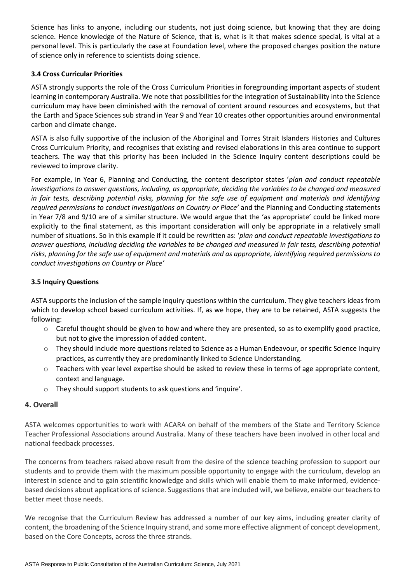Science has links to anyone, including our students, not just doing science, but knowing that they are doing science. Hence knowledge of the Nature of Science, that is, what is it that makes science special, is vital at a personal level. This is particularly the case at Foundation level, where the proposed changes position the nature of science only in reference to scientists doing science.

# **3.4 Cross Curricular Priorities**

ASTA strongly supports the role of the Cross Curriculum Priorities in foregrounding important aspects of student learning in contemporary Australia. We note that possibilities for the integration of Sustainability into the Science curriculum may have been diminished with the removal of content around resources and ecosystems, but that the Earth and Space Sciences sub strand in Year 9 and Year 10 creates other opportunities around environmental carbon and climate change.

ASTA is also fully supportive of the inclusion of the Aboriginal and Torres Strait Islanders Histories and Cultures Cross Curriculum Priority, and recognises that existing and revised elaborations in this area continue to support teachers. The way that this priority has been included in the Science Inquiry content descriptions could be reviewed to improve clarity.

For example, in Year 6, Planning and Conducting, the content descriptor states '*plan and conduct repeatable investigations to answer questions, including, as appropriate, deciding the variables to be changed and measured in fair tests, describing potential risks, planning for the safe use of equipment and materials and identifying required permissions to conduct investigations on Country or Place'* and the Planning and Conducting statements in Year 7/8 and 9/10 are of a similar structure. We would argue that the 'as appropriate' could be linked more explicitly to the final statement, as this important consideration will only be appropriate in a relatively small number of situations. So in this example if it could be rewritten as: '*plan and conduct repeatable investigations to answer questions, including deciding the variables to be changed and measured in fair tests, describing potential risks, planning for the safe use of equipment and materials and as appropriate, identifying required permissions to conduct investigations on Country or Place'*

## **3.5 Inquiry Questions**

ASTA supports the inclusion of the sample inquiry questions within the curriculum. They give teachers ideas from which to develop school based curriculum activities. If, as we hope, they are to be retained, ASTA suggests the following:

- $\circ$  Careful thought should be given to how and where they are presented, so as to exemplify good practice, but not to give the impression of added content.
- o They should include more questions related to Science as a Human Endeavour, or specific Science Inquiry practices, as currently they are predominantly linked to Science Understanding.
- o Teachers with year level expertise should be asked to review these in terms of age appropriate content, context and language.
- o They should support students to ask questions and 'inquire'.

# **4. Overall**

ASTA welcomes opportunities to work with ACARA on behalf of the members of the State and Territory Science Teacher Professional Associations around Australia. Many of these teachers have been involved in other local and national feedback processes.

The concerns from teachers raised above result from the desire of the science teaching profession to support our students and to provide them with the maximum possible opportunity to engage with the curriculum, develop an interest in science and to gain scientific knowledge and skills which will enable them to make informed, evidencebased decisions about applications of science. Suggestions that are included will, we believe, enable our teachers to better meet those needs.

We recognise that the Curriculum Review has addressed a number of our key aims, including greater clarity of content, the broadening of the Science Inquiry strand, and some more effective alignment of concept development, based on the Core Concepts, across the three strands.